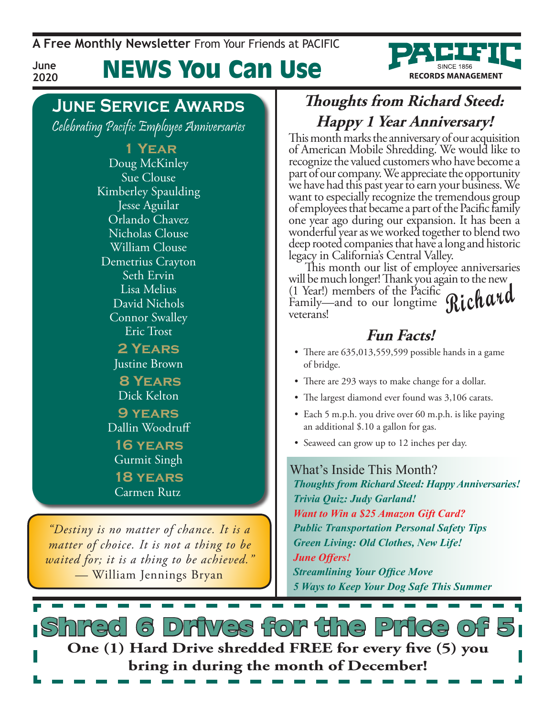**A Free Monthly Newsletter** From Your Friends at Pacific

**RECORDS MANAGEMENT** 

**June 2020**

## News You Can Use

#### **June Service Awards**

Celebrating Pacific Employee Anniversaries

 **1 Year** Doug McKinley Sue Clouse Kimberley Spaulding Jesse Aguilar Orlando Chavez Nicholas Clouse William Clouse Demetrius Crayton Seth Ervin Lisa Melius David Nichols Connor Swalley Eric Trost

> **2 Years** Justine Brown

 **8 Years** Dick Kelton

**9 years** Dallin Woodruff

**16 years** Gurmit Singh **18 years** Carmen Rutz

*"Destiny is no matter of chance. It is a matter of choice. It is not a thing to be waited for; it is a thing to be achieved." —* William Jennings Bryan

### **Happy 1 Year Anniversary! Thoughts from Richard Steed:**

This month marks the anniversary of our acquisition of American Mobile Shredding. We would like to recognize the valued customers who have become a part of our company. We appreciate the opportunity we have had this past year to earn your business. We want to especially recognize the tremendous group of employees that became a part of the Pacific family one year ago during our expansion. It has been a wonderful year as we worked together to blend two deep rooted companies that have a long and historic<br>legacy in California's Central Valley.

This month our list of employee anniversaries will be much longer! Thank you again to the new (1 Year!) members of the Pacific (1 Year!) members of the Pacific<br>Family—and to our longtime **Richard** veterans!

#### **Fun Facts!**

- There are 635,013,559,599 possible hands in a game of bridge.
- There are 293 ways to make change for a dollar.
- The largest diamond ever found was 3,106 carats.
- Each 5 m.p.h. you drive over 60 m.p.h. is like paying an additional \$.10 a gallon for gas.
- Seaweed can grow up to 12 inches per day.

What's Inside This Month? *Thoughts from Richard Steed: Happy Anniversaries! Trivia Quiz: Judy Garland! Want to Win a \$25 Amazon Gift Card? Public Transportation Personal Safety Tips Green Living: Old Clothes, New Life! June Offers! Streamlining Your Office Move 5 Ways to Keep Your Dog Safe This Summer*

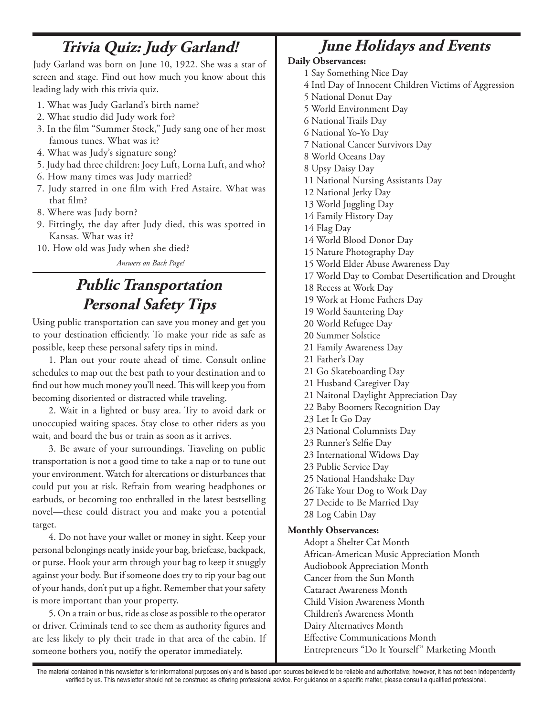#### **Trivia Quiz: Judy Garland!**

Judy Garland was born on June 10, 1922. She was a star of screen and stage. Find out how much you know about this leading lady with this trivia quiz.

- 1. What was Judy Garland's birth name?
- 2. What studio did Judy work for?
- 3. In the film "Summer Stock," Judy sang one of her most famous tunes. What was it?
- 4. What was Judy's signature song?
- 5. Judy had three children: Joey Luft, Lorna Luft, and who?
- 6. How many times was Judy married?
- 7. Judy starred in one film with Fred Astaire. What was that film?
- 8. Where was Judy born?
- 9. Fittingly, the day after Judy died, this was spotted in Kansas. What was it?
- 10. How old was Judy when she died?

*Answers on Back Page!*

#### **Public Transportation Personal Safety Tips**

Using public transportation can save you money and get you to your destination efficiently. To make your ride as safe as possible, keep these personal safety tips in mind.

1. Plan out your route ahead of time. Consult online schedules to map out the best path to your destination and to find out how much money you'll need. This will keep you from becoming disoriented or distracted while traveling.

2. Wait in a lighted or busy area. Try to avoid dark or unoccupied waiting spaces. Stay close to other riders as you wait, and board the bus or train as soon as it arrives.

3. Be aware of your surroundings. Traveling on public transportation is not a good time to take a nap or to tune out your environment. Watch for altercations or disturbances that could put you at risk. Refrain from wearing headphones or earbuds, or becoming too enthralled in the latest bestselling novel—these could distract you and make you a potential target.

4. Do not have your wallet or money in sight. Keep your personal belongings neatly inside your bag, briefcase, backpack, or purse. Hook your arm through your bag to keep it snuggly against your body. But if someone does try to rip your bag out of your hands, don't put up a fight. Remember that your safety is more important than your property.

5. On a train or bus, ride as close as possible to the operator or driver. Criminals tend to see them as authority figures and are less likely to ply their trade in that area of the cabin. If someone bothers you, notify the operator immediately.

#### **June Holidays and Events**

#### **Daily Observances:**

1 Say Something Nice Day 4 Intl Day of Innocent Children Victims of Aggression 5 National Donut Day 5 World Environment Day 6 National Trails Day 6 National Yo-Yo Day 7 National Cancer Survivors Day 8 World Oceans Day 8 Upsy Daisy Day 11 National Nursing Assistants Day 12 National Jerky Day 13 World Juggling Day 14 Family History Day 14 Flag Day 14 World Blood Donor Day 15 Nature Photography Day 15 World Elder Abuse Awareness Day 17 World Day to Combat Desertification and Drought 18 Recess at Work Day 19 Work at Home Fathers Day 19 World Sauntering Day 20 World Refugee Day 20 Summer Solstice 21 Family Awareness Day 21 Father's Day 21 Go Skateboarding Day 21 Husband Caregiver Day 21 Naitonal Daylight Appreciation Day 22 Baby Boomers Recognition Day 23 Let It Go Day 23 National Columnists Day 23 Runner's Selfie Day 23 International Widows Day 23 Public Service Day 25 National Handshake Day 26 Take Your Dog to Work Day 27 Decide to Be Married Day 28 Log Cabin Day **Monthly Observances:** Adopt a Shelter Cat Month African-American Music Appreciation Month Audiobook Appreciation Month Cancer from the Sun Month Cataract Awareness Month Child Vision Awareness Month Children's Awareness Month

- Dairy Alternatives Month
- Effective Communications Month Entrepreneurs "Do It Yourself" Marketing Month

The material contained in this newsletter is for informational purposes only and is based upon sources believed to be reliable and authoritative; however, it has not been independently verified by us. This newsletter should not be construed as offering professional advice. For guidance on a specific matter, please consult a qualified professional.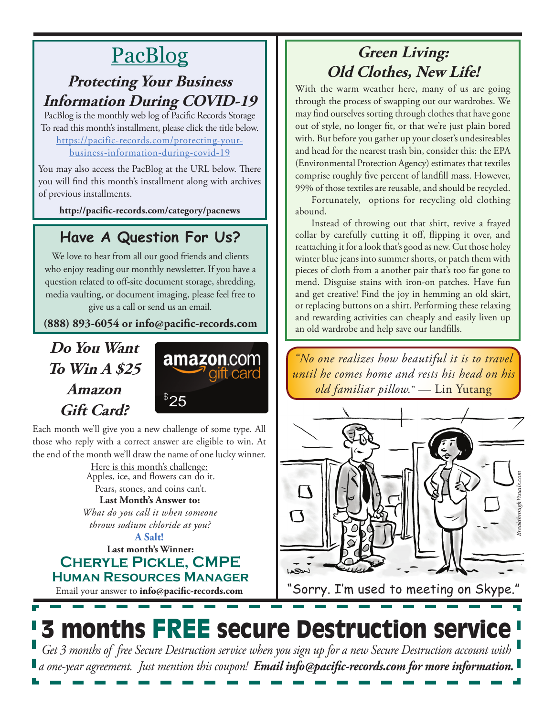## PacBlog

#### **Protecting Your Business Information During COVID-19**

PacBlog is the monthly web log of Pacific Records Storage To read this month's installment, please click the title below[.](http://pacific-records.com/5-advantages-of-a-local-shredding-and-destruction-provider) [https://pacific-records.com/protecting-your](https://pacific-records.com/protecting-your-business-information-during-covid-19)[business-information-during-covid-19](https://pacific-records.com/protecting-your-business-information-during-covid-19)

You may also access the PacBlog at the URL below. There you will find this month's installment along with archives of previous installments.

**http://pacific-records.com/category/pacnews**

### **Have A Question For Us?**

We love to hear from all our good friends and clients who enjoy reading our monthly newsletter. If you have a question related to off-site document storage, shredding, media vaulting, or document imaging, please feel free to give us a call or send us an email.

**(888) 893-6054 or info@pacific-records.com**

#### **Do You Want To Win A \$25 Amazon Gift Card?**



Each month we'll give you a new challenge of some type. All those who reply with a correct answer are eligible to win. At the end of the month we'll draw the name of one lucky winner.

Here is this month's challenge: Apples, ice, and flowers can do it. Pears, stones, and coins can't.

#### **Last Month's Answer to:**

**A Salt!** *What do you call it when someone throws sodium chloride at you?*

**Last month's Winner: Cheryle Pickle, CMPE Human Resources Manager** 

Email your answer to **info@pacific-records.com**

#### **Green Living: Old Clothes, New Life!**

With the warm weather here, many of us are going through the process of swapping out our wardrobes. We may find ourselves sorting through clothes that have gone out of style, no longer fit, or that we're just plain bored with. But before you gather up your closet's undesireables and head for the nearest trash bin, consider this: the EPA (Environmental Protection Agency) estimates that textiles comprise roughly five percent of landfill mass. However, 99% of those textiles are reusable, and should be recycled.

Fortunately, options for recycling old clothing abound.

Instead of throwing out that shirt, revive a frayed collar by carefully cutting it off, flipping it over, and reattaching it for a look that's good as new. Cut those holey winter blue jeans into summer shorts, or patch them with pieces of cloth from a another pair that's too far gone to mend. Disguise stains with iron-on patches. Have fun and get creative! Find the joy in hemming an old skirt, or replacing buttons on a shirt. Performing these relaxing and rewarding activities can cheaply and easily liven up an old wardrobe and help save our landfills.

*"No one realizes how beautiful it is to travel until he comes home and rests his head on his old familiar pillow.*" — Lin Yutang



"Sorry. I'm used to meeting on Skype."

# **3 months FREE secure Destruction services**

*Get 3 months of free Secure Destruction service when you sign up for a new Secure Destruction account with a one-year agreement. Just mention this coupon! Email info@pacific-records.com for more information.*